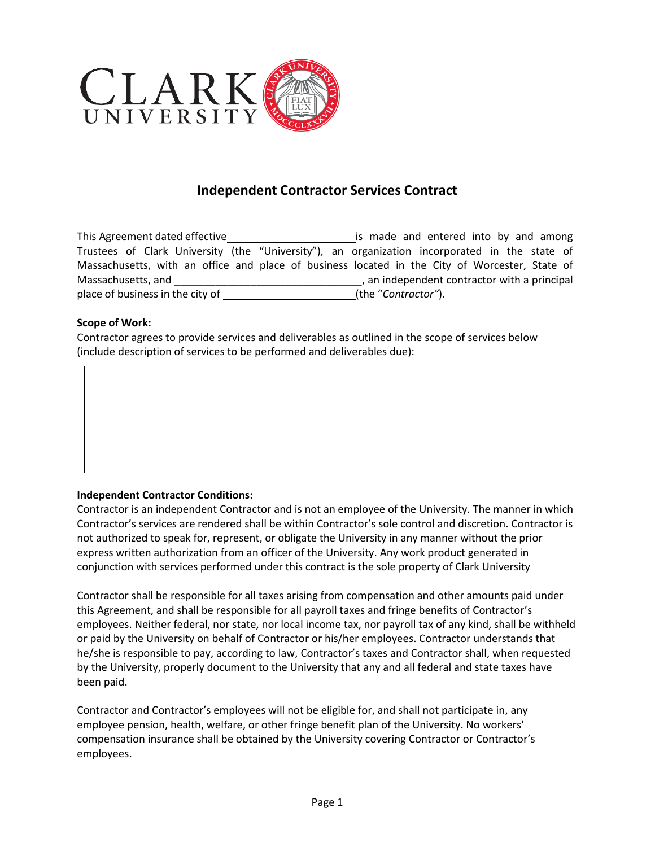

## **Independent Contractor Services Contract**

This Agreement dated effective is made and entered into by and among Trustees of Clark University (the "University")*,* an organization incorporated in the state of Massachusetts, with an office and place of business located in the City of Worcester, State of Massachusetts, and \_\_\_\_\_\_\_\_\_\_\_\_\_\_\_\_\_\_\_\_\_\_\_\_\_\_\_\_\_\_\_\_, an independent contractor with a principal place of business in the city of (the "*Contractor"*).

## **Scope of Work:**

Contractor agrees to provide services and deliverables as outlined in the scope of services below (include description of services to be performed and deliverables due):

## **Independent Contractor Conditions:**

Contractor is an independent Contractor and is not an employee of the University. The manner in which Contractor's services are rendered shall be within Contractor's sole control and discretion. Contractor is not authorized to speak for, represent, or obligate the University in any manner without the prior express written authorization from an officer of the University. Any work product generated in conjunction with services performed under this contract is the sole property of Clark University

Contractor shall be responsible for all taxes arising from compensation and other amounts paid under this Agreement, and shall be responsible for all payroll taxes and fringe benefits of Contractor's employees. Neither federal, nor state, nor local income tax, nor payroll tax of any kind, shall be withheld or paid by the University on behalf of Contractor or his/her employees. Contractor understands that he/she is responsible to pay, according to law, Contractor's taxes and Contractor shall, when requested by the University, properly document to the University that any and all federal and state taxes have been paid.

Contractor and Contractor's employees will not be eligible for, and shall not participate in, any employee pension, health, welfare, or other fringe benefit plan of the University. No workers' compensation insurance shall be obtained by the University covering Contractor or Contractor's employees.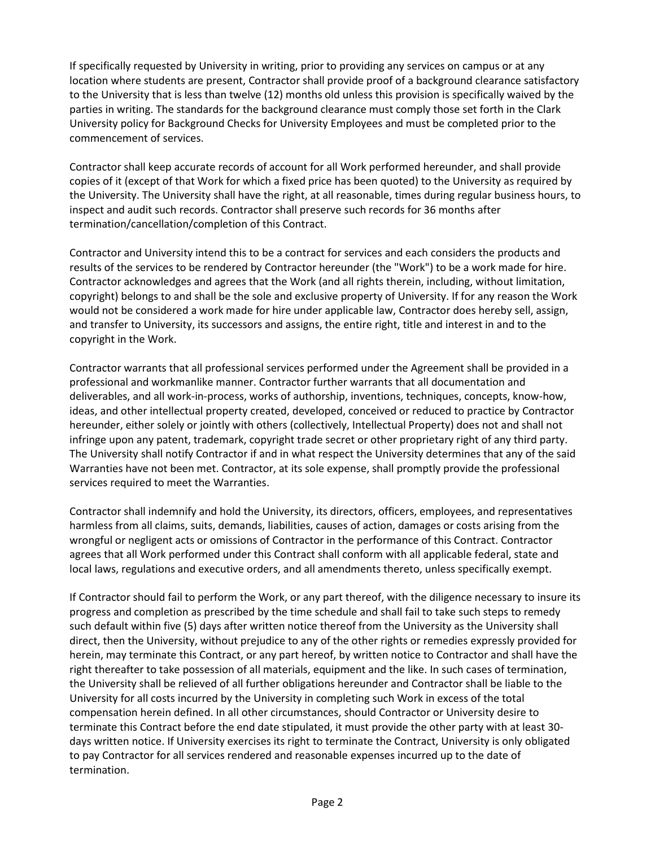If specifically requested by University in writing, prior to providing any services on campus or at any location where students are present, Contractor shall provide proof of a background clearance satisfactory to the University that is less than twelve (12) months old unless this provision is specifically waived by the parties in writing. The standards for the background clearance must comply those set forth in the Clark University policy for Background Checks for University Employees and must be completed prior to the commencement of services.

Contractor shall keep accurate records of account for all Work performed hereunder, and shall provide copies of it (except of that Work for which a fixed price has been quoted) to the University as required by the University. The University shall have the right, at all reasonable, times during regular business hours, to inspect and audit such records. Contractor shall preserve such records for 36 months after termination/cancellation/completion of this Contract.

Contractor and University intend this to be a contract for services and each considers the products and results of the services to be rendered by Contractor hereunder (the "Work") to be a work made for hire. Contractor acknowledges and agrees that the Work (and all rights therein, including, without limitation, copyright) belongs to and shall be the sole and exclusive property of University. If for any reason the Work would not be considered a work made for hire under applicable law, Contractor does hereby sell, assign, and transfer to University, its successors and assigns, the entire right, title and interest in and to the copyright in the Work.

Contractor warrants that all professional services performed under the Agreement shall be provided in a professional and workmanlike manner. Contractor further warrants that all documentation and deliverables, and all work-in-process, works of authorship, inventions, techniques, concepts, know-how, ideas, and other intellectual property created, developed, conceived or reduced to practice by Contractor hereunder, either solely or jointly with others (collectively, Intellectual Property) does not and shall not infringe upon any patent, trademark, copyright trade secret or other proprietary right of any third party. The University shall notify Contractor if and in what respect the University determines that any of the said Warranties have not been met. Contractor, at its sole expense, shall promptly provide the professional services required to meet the Warranties.

Contractor shall indemnify and hold the University, its directors, officers, employees, and representatives harmless from all claims, suits, demands, liabilities, causes of action, damages or costs arising from the wrongful or negligent acts or omissions of Contractor in the performance of this Contract. Contractor agrees that all Work performed under this Contract shall conform with all applicable federal, state and local laws, regulations and executive orders, and all amendments thereto, unless specifically exempt.

If Contractor should fail to perform the Work, or any part thereof, with the diligence necessary to insure its progress and completion as prescribed by the time schedule and shall fail to take such steps to remedy such default within five (5) days after written notice thereof from the University as the University shall direct, then the University, without prejudice to any of the other rights or remedies expressly provided for herein, may terminate this Contract, or any part hereof, by written notice to Contractor and shall have the right thereafter to take possession of all materials, equipment and the like. In such cases of termination, the University shall be relieved of all further obligations hereunder and Contractor shall be liable to the University for all costs incurred by the University in completing such Work in excess of the total compensation herein defined. In all other circumstances, should Contractor or University desire to terminate this Contract before the end date stipulated, it must provide the other party with at least 30 days written notice. If University exercises its right to terminate the Contract, University is only obligated to pay Contractor for all services rendered and reasonable expenses incurred up to the date of termination.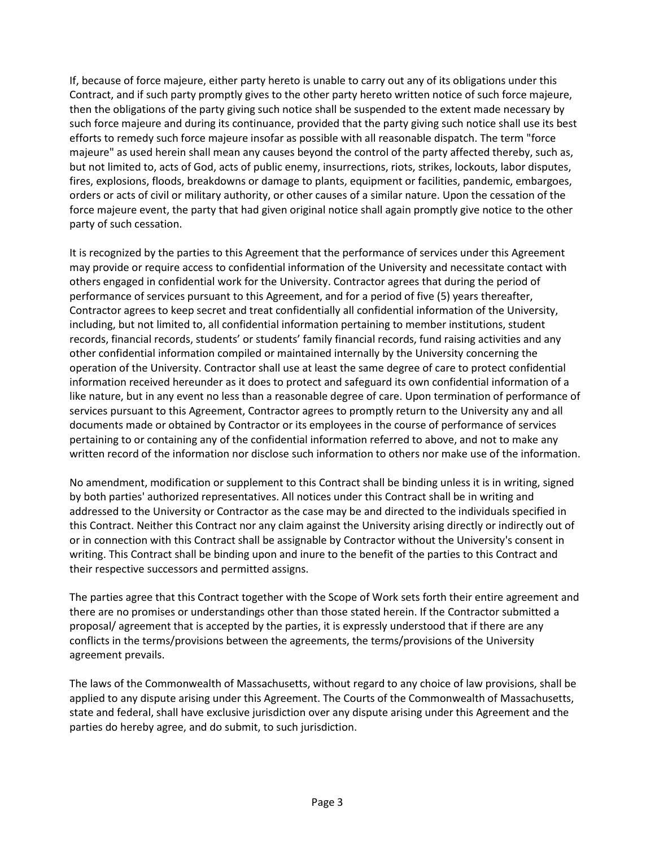If, because of force majeure, either party hereto is unable to carry out any of its obligations under this Contract, and if such party promptly gives to the other party hereto written notice of such force majeure, then the obligations of the party giving such notice shall be suspended to the extent made necessary by such force majeure and during its continuance, provided that the party giving such notice shall use its best efforts to remedy such force majeure insofar as possible with all reasonable dispatch. The term "force majeure" as used herein shall mean any causes beyond the control of the party affected thereby, such as, but not limited to, acts of God, acts of public enemy, insurrections, riots, strikes, lockouts, labor disputes, fires, explosions, floods, breakdowns or damage to plants, equipment or facilities, pandemic, embargoes, orders or acts of civil or military authority, or other causes of a similar nature. Upon the cessation of the force majeure event, the party that had given original notice shall again promptly give notice to the other party of such cessation.

It is recognized by the parties to this Agreement that the performance of services under this Agreement may provide or require access to confidential information of the University and necessitate contact with others engaged in confidential work for the University. Contractor agrees that during the period of performance of services pursuant to this Agreement, and for a period of five (5) years thereafter, Contractor agrees to keep secret and treat confidentially all confidential information of the University, including, but not limited to, all confidential information pertaining to member institutions, student records, financial records, students' or students' family financial records, fund raising activities and any other confidential information compiled or maintained internally by the University concerning the operation of the University. Contractor shall use at least the same degree of care to protect confidential information received hereunder as it does to protect and safeguard its own confidential information of a like nature, but in any event no less than a reasonable degree of care. Upon termination of performance of services pursuant to this Agreement, Contractor agrees to promptly return to the University any and all documents made or obtained by Contractor or its employees in the course of performance of services pertaining to or containing any of the confidential information referred to above, and not to make any written record of the information nor disclose such information to others nor make use of the information.

No amendment, modification or supplement to this Contract shall be binding unless it is in writing, signed by both parties' authorized representatives. All notices under this Contract shall be in writing and addressed to the University or Contractor as the case may be and directed to the individuals specified in this Contract. Neither this Contract nor any claim against the University arising directly or indirectly out of or in connection with this Contract shall be assignable by Contractor without the University's consent in writing. This Contract shall be binding upon and inure to the benefit of the parties to this Contract and their respective successors and permitted assigns.

The parties agree that this Contract together with the Scope of Work sets forth their entire agreement and there are no promises or understandings other than those stated herein. If the Contractor submitted a proposal/ agreement that is accepted by the parties, it is expressly understood that if there are any conflicts in the terms/provisions between the agreements, the terms/provisions of the University agreement prevails.

The laws of the Commonwealth of Massachusetts, without regard to any choice of law provisions, shall be applied to any dispute arising under this Agreement. The Courts of the Commonwealth of Massachusetts, state and federal, shall have exclusive jurisdiction over any dispute arising under this Agreement and the parties do hereby agree, and do submit, to such jurisdiction.